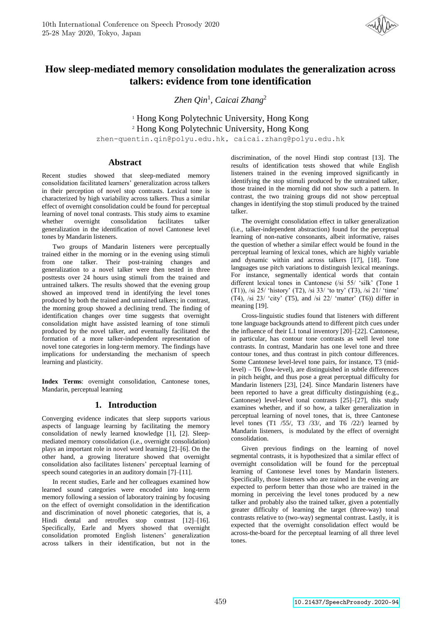

# **How sleep-mediated memory consolidation modulates the generalization across talkers: evidence from tone identification**

*Zhen Qin*<sup>1</sup> *, Caicai Zhang*<sup>2</sup>

<sup>1</sup> Hong Kong Polytechnic University, Hong Kong <sup>2</sup> Hong Kong Polytechnic University, Hong Kong

zhen-quentin.qin@polyu.edu.hk, caicai.zhang@polyu.edu.hk

## **Abstract**

Recent studies showed that sleep-mediated memory consolidation facilitated learners' generalization across talkers in their perception of novel stop contrasts. Lexical tone is characterized by high variability across talkers. Thus a similar effect of overnight consolidation could be found for perceptual learning of novel tonal contrasts. This study aims to examine whether overnight consolidation facilitates talker generalization in the identification of novel Cantonese level tones by Mandarin listeners.

Two groups of Mandarin listeners were perceptually trained either in the morning or in the evening using stimuli from one talker. Their post-training changes and generalization to a novel talker were then tested in three posttests over 24 hours using stimuli from the trained and untrained talkers. The results showed that the evening group showed an improved trend in identifying the level tones produced by both the trained and untrained talkers; in contrast, the morning group showed a declining trend. The finding of identification changes over time suggests that overnight consolidation might have assisted learning of tone stimuli produced by the novel talker, and eventually facilitated the formation of a more talker-independent representation of novel tone categories in long-term memory. The findings have implications for understanding the mechanism of speech learning and plasticity.

**Index Terms**: overnight consolidation, Cantonese tones, Mandarin, perceptual learning

## **1. Introduction**

Converging evidence indicates that sleep supports various aspects of language learning by facilitating the memory consolidation of newly learned knowledge [1], [2]. Sleepmediated memory consolidation (i.e., overnight consolidation) plays an important role in novel word learning [2]–[6]. On the other hand, a growing literature showed that overnight consolidation also facilitates listeners' perceptual learning of speech sound categories in an auditory domain [7]–[11].

In recent studies, Earle and her colleagues examined how learned sound categories were encoded into long-term memory following a session of laboratory training by focusing on the effect of overnight consolidation in the identification and discrimination of novel phonetic categories, that is, a Hindi dental and retroflex stop contrast [12]–[16]. Specifically, Earle and Myers showed that overnight consolidation promoted English listeners' generalization across talkers in their identification, but not in the

discrimination, of the novel Hindi stop contrast [13]. The results of identification tests showed that while English listeners trained in the evening improved significantly in identifying the stop stimuli produced by the untrained talker, those trained in the morning did not show such a pattern. In contrast, the two training groups did not show perceptual changes in identifying the stop stimuli produced by the trained talker.

The overnight consolidation effect in talker generalization (i.e., talker-independent abstraction) found for the perceptual learning of non-native consonants, albeit informative, raises the question of whether a similar effect would be found in the perceptual learning of lexical tones, which are highly variable and dynamic within and across talkers [17], [18]. Tone languages use pitch variations to distinguish lexical meanings. For instance, segmentally identical words that contain different lexical tones in Cantonese (/si 55/ 'silk' (Tone 1 (T1)), /si 25/ 'history' (T2), /si 33/ 'to try' (T3), /si 21/ 'time' (T4), /si 23/ 'city' (T5), and /si 22/ 'matter' (T6)) differ in meaning [19].

Cross-linguistic studies found that listeners with different tone language backgrounds attend to different pitch cues under the influence of their L1 tonal inventory [20]–[22]. Cantonese, in particular, has contour tone contrasts as well level tone contrasts. In contrast, Mandarin has one level tone and three contour tones, and thus contrast in pitch contour differences. Some Cantonese level-level tone pairs, for instance, T3 (midlevel) – T6 (low-level), are distinguished in subtle differences in pitch height, and thus pose a great perceptual difficulty for Mandarin listeners [23], [24]. Since Mandarin listeners have been reported to have a great difficulty distinguishing (e.g., Cantonese) level-level tonal contrasts [25]–[27], this study examines whether, and if so how, a talker generalization in perceptual learning of novel tones, that is, three Cantonese level tones (T1 /55/, T3 /33/, and T6 /22/) learned by Mandarin listeners, is modulated by the effect of overnight consolidation.

Given previous findings on the learning of novel segmental contrasts, it is hypothesized that a similar effect of overnight consolidation will be found for the perceptual learning of Cantonese level tones by Mandarin listeners. Specifically, those listeners who are trained in the evening are expected to perform better than those who are trained in the morning in perceiving the level tones produced by a new talker and probably also the trained talker, given a potentially greater difficulty of learning the target (three-way) tonal contrasts relative to (two-way) segmental contrast. Lastly, it is expected that the overnight consolidation effect would be across-the-board for the perceptual learning of all three level tones.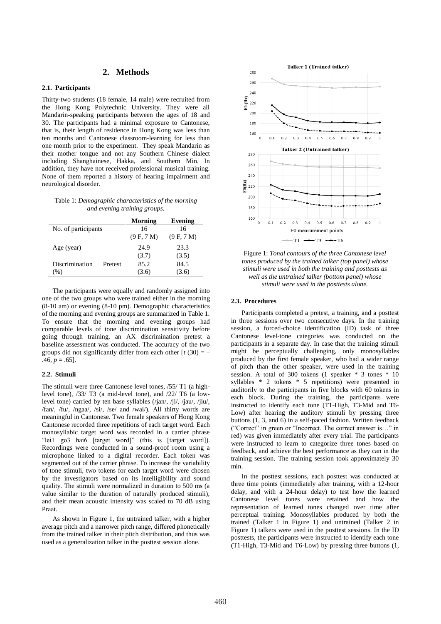## **2. Methods**

### **2.1. Participants**

Thirty-two students (18 female, 14 male) were recruited from the Hong Kong Polytechnic University. They were all Mandarin-speaking participants between the ages of 18 and 30. The participants had a minimal exposure to Cantonese, that is, their length of residence in Hong Kong was less than ten months and Cantonese classroom-learning for less than one month prior to the experiment. They speak Mandarin as their mother tongue and not any Southern Chinese dialect including Shanghainese, Hakka, and Southern Min. In addition, they have not received professional musical training. None of them reported a history of hearing impairment and neurological disorder.

Table 1: *Demographic characteristics of the morning and evening training groups.*

|                     |         | Morning    | Evening    |
|---------------------|---------|------------|------------|
| No. of participants |         | 16         | 16         |
|                     |         | (9 F, 7 M) | (9 F, 7 M) |
| Age (year)          |         | 24.9       | 23.3       |
|                     |         | (3.7)      | (3.5)      |
| Discrimination      | Pretest | 85.2       | 84.5       |
| $(\%)$              |         | (3.6)      | (3.6)      |

The participants were equally and randomly assigned into one of the two groups who were trained either in the morning (8-10 am) or evening (8-10 pm). Demographic characteristics of the morning and evening groups are summarized in Table 1. To ensure that the morning and evening groups had comparable levels of tone discrimination sensitivity before going through training, an AX discrimination pretest a baseline assessment was conducted. The accuracy of the two groups did not significantly differ from each other  $[t (30) = .46, p = .65$ ].

### **2.2. Stimuli**

The stimuli were three Cantonese level tones, /55/ T1 (a highlevel tone), /33/ T3 (a mid-level tone), and /22/ T6 (a lowlevel tone) carried by ten base syllables (/jan/, /ji/, /jau/, /jiu/, /fan/, /fu/, /ngaa/, /si/, /se/ and /wai/). All thirty words are meaningful in Cantonese. Two female speakers of Hong Kong Cantonese recorded three repetitions of each target word. Each monosyllabic target word was recorded in a carrier phrase "lei1 go3 hai6 [target word]" (this is [target word]). Recordings were conducted in a sound-proof room using a microphone linked to a digital recorder. Each token was segmented out of the carrier phrase. To increase the variability of tone stimuli, two tokens for each target word were chosen by the investigators based on its intelligibility and sound quality. The stimuli were normalized in duration to 500 ms (a value similar to the duration of naturally produced stimuli), and their mean acoustic intensity was scaled to 70 dB using Praat.

As shown in Figure 1, the untrained talker, with a higher average pitch and a narrower pitch range, differed phonetically from the trained talker in their pitch distribution, and thus was used as a generalization talker in the posttest session alone.



Figure 1: *Tonal contours of the three Cantonese level tones produced by the trained talker (top panel) whose stimuli were used in both the training and posttests as well as the untrained talker (bottom panel) whose stimuli were used in the posttests alone.*

#### **2.3. Procedures**

Participants completed a pretest, a training, and a posttest in three sessions over two consecutive days. In the training session, a forced-choice identification (ID) task of three Cantonese level-tone categories was conducted on the participants in a separate day. In case that the training stimuli might be perceptually challenging, only monosyllables produced by the first female speaker, who had a wider range of pitch than the other speaker, were used in the training session. A total of 300 tokens (1 speaker \* 3 tones \* 10 syllables \* 2 tokens \* 5 repetitions) were presented in auditorily to the participants in five blocks with 60 tokens in each block. During the training, the participants were instructed to identify each tone (T1-High, T3-Mid and T6- Low) after hearing the auditory stimuli by pressing three buttons (1, 3, and 6) in a self-paced fashion. Written feedback ("Correct" in green or "Incorrect. The correct answer is…" in red) was given immediately after every trial. The participants were instructed to learn to categorize three tones based on feedback, and achieve the best performance as they can in the training session. The training session took approximately 30 min.

In the posttest sessions, each posttest was conducted at three time points (immediately after training, with a 12-hour delay, and with a 24-hour delay) to test how the learned Cantonese level tones were retained and how the representation of learned tones changed over time after perceptual training. Monosyllables produced by both the trained (Talker 1 in Figure 1) and untrained (Talker 2 in Figure 1) talkers were used in the posttest sessions. In the ID posttests, the participants were instructed to identify each tone (T1-High, T3-Mid and T6-Low) by pressing three buttons (1,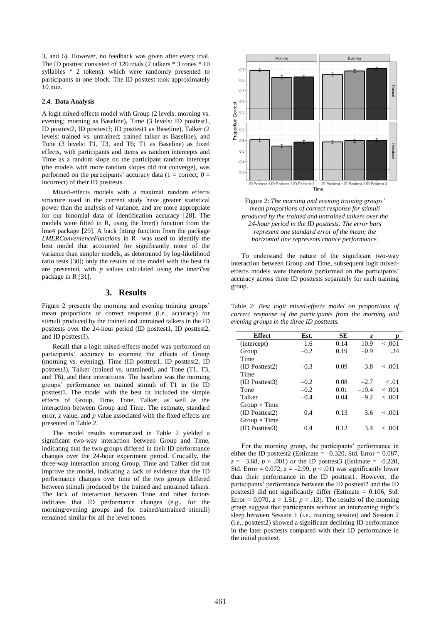3, and 6). However, no feedback was given after every trial. The ID posttest consisted of 120 trials (2 talkers \* 3 tones \* 10 syllables \* 2 tokens), which were randomly presented to participants in one block. The ID posttest took approximately 10 min.

### **2.4. Data Analysis**

A logit mixed-effects model with Group (2 levels: morning vs. evening; morning as Baseline), Time (3 levels: ID posttest1, ID posttest2, ID posttest3; ID posttest1 as Baseline), Talker (2 levels: trained vs. untrained; trained talker as Baseline), and Tone (3 levels: T1, T3, and T6; T1 as Baseline) as fixed effects, with participants and items as random intercepts and Time as a random slope on the participant random intercept (the models with more random slopes did not converge), was performed on the participants' accuracy data ( $1 =$  correct,  $0 =$ incorrect) of their ID posttests.

Mixed-effects models with a maximal random effects structure used in the current study have greater statistical power than the analysis of variance, and are more appropriate for our binomial data of identification accuracy [28]. The models were fitted in R, using the lmer() function from the lme4 package [29]. A back fitting function from the package *LMERConvenienceFunctions* in R was used to identify the best model that accounted for significantly more of the variance than simpler models, as determined by log-likelihood ratio tests [30]; only the results of the model with the best fit are presented, with *p* values calculated using the *lmerTest* package in R [31].

### **3. Results**

Figure 2 presents the morning and evening training groups' mean proportions of correct response (i.e., accuracy) for stimuli produced by the trained and untrained talkers in the ID posttests over the 24-hour period (ID posttest1, ID posttest2, and ID posttest3).

Recall that a logit mixed-effects model was performed on participants' accuracy to examine the effects of Group (morning vs. evening), Time (ID posttest1, ID posttest2, ID posttest3), Talker (trained vs. untrained), and Tone (T1, T3, and T6), and their interactions. The baseline was the morning groups' performance on trained stimuli of T1 in the ID posttest1. The model with the best fit included the simple effects of Group, Time, Tone, Talker, as well as the interaction between Group and Time. The estimate, standard error, *z* value, and *p* value associated with the fixed effects are presented in Table 2.

The model results summarized in Table 2 yielded a significant two-way interaction between Group and Time, indicating that the two groups differed in their ID performance changes over the 24-hour experiment period. Crucially, the three-way interaction among Group, Time and Talker did not improve the model, indicating a lack of evidence that the ID performance changes over time of the two groups differed between stimuli produced by the trained and untrained talkers. The lack of interaction between Tone and other factors indicates that ID performance changes (e.g., for the morning/evening groups and for trained/untrained stimuli) remained similar for all the level tones.





To understand the nature of the significant two-way interaction between Group and Time, subsequent logit mixedeffects models were therefore performed on the participants' accuracy across three ID posttests separately for each training group.

Table 2: *Best logit mixed-effects model on proportions of correct response of the participants from the morning and evening groups in the three ID posttests.*

| <b>Effect</b>       | Est.   | SE   | Z.      |            |
|---------------------|--------|------|---------|------------|
| (intercept)         | 1.6    | 0.14 | 10.9    | $-.001$    |
| Group               | $-0.2$ | 0.19 | $-0.9$  | .34        |
| Time                |        |      |         |            |
| (ID Posttest2)      | $-0.3$ | 0.09 | $-3.8$  | < 0.01     |
| Time                |        |      |         |            |
| $(ID$ Posttest $3)$ | $-0.2$ | 0.08 | $-2.7$  | $\leq .01$ |
| Tone                | $-0.2$ | 0.01 | $-19.4$ | $-.001$    |
| Talker              | $-0.4$ | 0.04 | $-9.2$  | $-.001$    |
| Group $\times$ Time |        |      |         |            |
| (ID Posttest2)      | 0.4    | 0.13 | 3.6     | < 0.01     |
| Group $\times$ Time |        |      |         |            |
| (ID Posttest3)      | 0.4    | 0.12 | 3.4     | < 0.01     |
|                     |        |      |         |            |

For the morning group, the participants' performance in either the ID posttest2 (Estimate  $= -0.320$ , Std. Error  $= 0.087$ ,  $z = -3.68$ ,  $p < .001$ ) or the ID posttest3 (Estimate = -0.220, Std. Error =  $0.072$ ,  $z = -2.99$ ,  $p < .01$ ) was significantly lower than their performance in the ID posttest1. However, the participants' performance between the ID posttest2 and the ID posttest3 did not significantly differ (Estimate = 0.106, Std. Error =  $0.070$ ,  $z = 1.51$ ,  $p = .13$ ). The results of the morning group suggest that participants without an intervening night's sleep between Session 1 (i.e., training session) and Session 2 (i.e., posttest2) showed a significant declining ID performance in the later posttests compared with their ID performance in the initial posttest.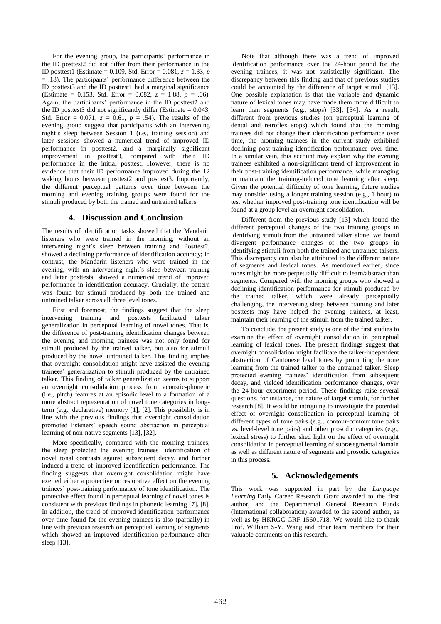For the evening group, the participants' performance in the ID posttest2 did not differ from their performance in the ID posttest1 (Estimate = 0.109, Std. Error = 0.081, *z* = 1.33, *p*  $= .18$ ). The participants' performance difference between the ID posttest3 and the ID posttest1 had a marginal significance (Estimate = 0.153, Std. Error = 0.082,  $z = 1.88$ ,  $p = .06$ ). Again, the participants' performance in the ID posttest2 and the ID posttest3 did not significantly differ (Estimate  $= 0.043$ , Std. Error =  $0.071$ ,  $z = 0.61$ ,  $p = .54$ ). The results of the evening group suggest that participants with an intervening night's sleep between Session 1 (i.e., training session) and later sessions showed a numerical trend of improved ID performance in posttest2, and a marginally significant improvement in posttest3, compared with their ID performance in the initial posttest. However, there is no evidence that their ID performance improved during the 12 waking hours between posttest2 and posttest3. Importantly, the different perceptual patterns over time between the morning and evening training groups were found for the stimuli produced by both the trained and untrained talkers.

# **4. Discussion and Conclusion**

The results of identification tasks showed that the Mandarin listeners who were trained in the morning, without an intervening night's sleep between training and Posttest2, showed a declining performance of identification accuracy; in contrast, the Mandarin listeners who were trained in the evening, with an intervening night's sleep between training and later posttests, showed a numerical trend of improved performance in identification accuracy. Crucially, the pattern was found for stimuli produced by both the trained and untrained talker across all three level tones.

First and foremost, the findings suggest that the sleep intervening training and posttests facilitated talker generalization in perceptual learning of novel tones. That is, the difference of post-training identification changes between the evening and morning trainees was not only found for stimuli produced by the trained talker, but also for stimuli produced by the novel untrained talker. This finding implies that overnight consolidation might have assisted the evening trainees' generalization to stimuli produced by the untrained talker. This finding of talker generalization seems to support an overnight consolidation process from acoustic-phonetic (i.e., pitch) features at an episodic level to a formation of a more abstract representation of novel tone categories in longterm (e.g., declarative) memory [1], [2]. This possibility is in line with the previous findings that overnight consolidation promoted listeners' speech sound abstraction in perceptual learning of non-native segments [13], [32].

More specifically, compared with the morning trainees, the sleep protected the evening trainees' identification of novel tonal contrasts against subsequent decay, and further induced a trend of improved identification performance. The finding suggests that overnight consolidation might have exerted either a protective or restorative effect on the evening trainees' post-training performance of tone identification. The protective effect found in perceptual learning of novel tones is consistent with previous findings in phonetic learning [7], [8]. In addition, the trend of improved identification performance over time found for the evening trainees is also (partially) in line with previous research on perceptual learning of segments which showed an improved identification performance after sleep [13].

Note that although there was a trend of improved identification performance over the 24-hour period for the evening trainees, it was not statistically significant. The discrepancy between this finding and that of previous studies could be accounted by the difference of target stimuli [13]. One possible explanation is that the variable and dynamic nature of lexical tones may have made them more difficult to learn than segments (e.g., stops) [33], [34]. As a result, different from previous studies (on perceptual learning of dental and retroflex stops) which found that the morning trainees did not change their identification performance over time, the morning trainees in the current study exhibited declining post-training identification performance over time. In a similar vein, this account may explain why the evening trainees exhibited a non-significant trend of improvement in their post-training identification performance, while managing to maintain the training-induced tone learning after sleep. Given the potential difficulty of tone learning, future studies may consider using a longer training session (e.g., 1 hour) to test whether improved post-training tone identification will be found at a group level an overnight consolidation.

Different from the previous study [13] which found the different perceptual changes of the two training groups in identifying stimuli from the untrained talker alone, we found divergent performance changes of the two groups in identifying stimuli from both the trained and untrained talkers. This discrepancy can also be attributed to the different nature of segments and lexical tones. As mentioned earlier, since tones might be more perpetually difficult to learn/abstract than segments. Compared with the morning groups who showed a declining identification performance for stimuli produced by the trained talker, which were already perceptually challenging, the intervening sleep between training and later posttests may have helped the evening trainees, at least, maintain their learning of the stimuli from the trained talker.

To conclude, the present study is one of the first studies to examine the effect of overnight consolidation in perceptual learning of lexical tones. The present findings suggest that overnight consolidation might facilitate the talker-independent abstraction of Cantonese level tones by promoting the tone learning from the trained talker to the untrained talker. Sleep protected evening trainees' identification from subsequent decay, and yielded identification performance changes, over the 24-hour experiment period. These findings raise several questions, for instance, the nature of target stimuli, for further research [8]. It would be intriguing to investigate the potential effect of overnight consolidation in perceptual learning of different types of tone pairs (e.g., contour-contour tone pairs vs. level-level tone pairs) and other prosodic categories (e.g., lexical stress) to further shed light on the effect of overnight consolidation in perceptual learning of suprasegmental domain as well as different nature of segments and prosodic categories in this process.

# **5. Acknowledgements**

This work was supported in part by the *Language Learning* Early Career Research Grant awarded to the first author, and the Departmental General Research Funds (International collaboration) awarded to the second author, as well as by HKRGC-GRF 15601718. We would like to thank Prof. William S-Y. Wang and other team members for their valuable comments on this research.